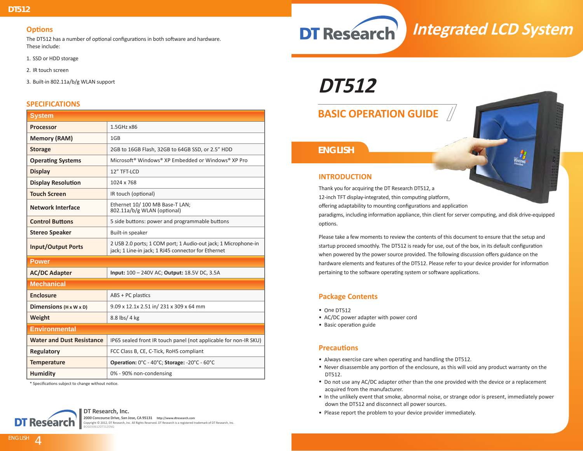#### **Options**

The DT512 has a number of optional configurations in both software and hardware. These include:

- 1. SSD or HDD storage
- 2. IR touch screen
- 3. Built-in 802.11a/b/g WLAN support

#### **SPECIFICATIONS**

| <b>System</b>                      |                                                                                                                       |
|------------------------------------|-----------------------------------------------------------------------------------------------------------------------|
| <b>Processor</b>                   | 1.5GHz x86                                                                                                            |
| <b>Memory (RAM)</b>                | 1GB                                                                                                                   |
| <b>Storage</b>                     | 2GB to 16GB Flash, 32GB to 64GB SSD, or 2.5" HDD                                                                      |
| <b>Operating Systems</b>           | Microsoft <sup>®</sup> Windows <sup>®</sup> XP Embedded or Windows <sup>®</sup> XP Pro                                |
| <b>Display</b>                     | 12" TFT-LCD                                                                                                           |
| <b>Display Resolution</b>          | 1024 x 768                                                                                                            |
| <b>Touch Screen</b>                | IR touch (optional)                                                                                                   |
| <b>Network Interface</b>           | Ethernet 10/100 MB Base-T LAN;<br>802.11a/b/g WLAN (optional)                                                         |
| <b>Control Buttons</b>             | 5 side buttons: power and programmable buttons                                                                        |
| <b>Stereo Speaker</b>              | Built-in speaker                                                                                                      |
| <b>Input/Output Ports</b>          | 2 USB 2.0 ports; 1 COM port; 1 Audio-out jack; 1 Microphone-in<br>jack; 1 Line-in jack; 1 RJ45 connector for Ethernet |
| <b>Power</b>                       |                                                                                                                       |
| <b>AC/DC Adapter</b>               | Input: 100 - 240V AC; Output: 18.5V DC, 3.5A                                                                          |
| <b>Mechanical</b>                  |                                                                                                                       |
| <b>Enclosure</b>                   | $ABS + PC$ plastics                                                                                                   |
| Dimensions $(H \times W \times D)$ | 9.09 x 12.1x 2.51 in/ 231 x 309 x 64 mm                                                                               |
| Weight                             | 8.8 lbs/ 4 kg                                                                                                         |
| <b>Environmental</b>               |                                                                                                                       |
| <b>Water and Dust Resistance</b>   | IP65 sealed front IR touch panel (not applicable for non-IR SKU)                                                      |
| <b>Regulatory</b>                  | FCC Class B, CE, C-Tick, RoHS compliant                                                                               |
| <b>Temperature</b>                 | Operation: 0°C - 40°C; Storage: -20°C - 60°C                                                                          |
| <b>Humidity</b>                    | 0% - 90% non-condensing                                                                                               |

\* Specifications subject to change without notice.



#### **DT Research, Inc. 2000 Concourse Drive, San Jose, CA 95131 http://www.dtresearch.com** Copyright © 2012, DT Research, Inc. All Rights Reserved. DT Research is a registered trademark of DT Research, Inc. BOG030612DT512ENG

**DT512**

**DT Research** 

# **BASIC OPERATION GUIDE**

## *ENGLISH*



**Integrated LCD System**

#### **INTRODUCTION**

Thank you for acquiring the DT Research DT512, a

12-inch TFT display-integrated, thin computing platform,

offering adaptability to mounting configurations and application

paradigms, including information appliance, thin client for server computing, and disk drive-equipped options.

Please take a few moments to review the contents of this document to ensure that the setup and startup proceed smoothly. The DT512 is ready for use, out of the box, in its default configuration when powered by the power source provided. The following discussion offers guidance on the hardware elements and features of the DT512. Please refer to your device provider for information pertaining to the software operating system or software applications.

#### **Package Contents**

- One DT512
- AC/DC power adapter with power cord
- Basic operation guide

#### **Precautions**

- Always exercise care when operating and handling the DT512.
- Never disassemble any portion of the enclosure, as this will void any product warranty on the DT512.
- Do not use any AC/DC adapter other than the one provided with the device or a replacement acquired from the manufacturer.
- In the unlikely event that smoke, abnormal noise, or strange odor is present, immediately power down the DT512 and disconnect all power sources.
- Please report the problem to your device provider immediately.